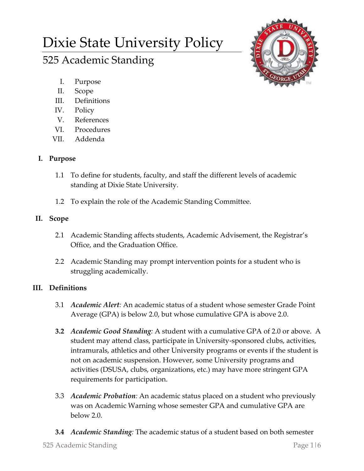# Dixie State University Policy

# 525 Academic Standing



- I. Purpose
- II. Scope
- III. Definitions
- IV. Policy
- V. References
- VI. Procedures
- VII. Addenda

# **I. Purpose**

- 1.1 To define for students, faculty, and staff the different levels of academic standing at Dixie State University.
- 1.2 To explain the role of the Academic Standing Committee.

## **II. Scope**

- 2.1 Academic Standing affects students, Academic Advisement, the Registrar's Office, and the Graduation Office.
- 2.2 Academic Standing may prompt intervention points for a student who is struggling academically.

# **III. Definitions**

- 3.1 *Academic Alert:* An academic status of a student whose semester Grade Point Average (GPA) is below 2.0, but whose cumulative GPA is above 2.0.
- **3.2** *Academic Good Standing:* A student with a cumulative GPA of 2.0 or above. A student may attend class, participate in University-sponsored clubs, activities, intramurals, athletics and other University programs or events if the student is not on academic suspension. However, some University programs and activities (DSUSA, clubs, organizations, etc.) may have more stringent GPA requirements for participation.
- 3.3 *Academic Probation:* An academic status placed on a student who previously was on Academic Warning whose semester GPA and cumulative GPA are below 2.0.
- **3.4** *Academic Standing:* The academic status of a student based on both semester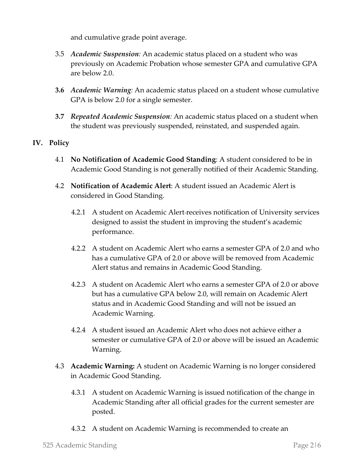and cumulative grade point average.

- 3.5 *Academic Suspension:* An academic status placed on a student who was previously on Academic Probation whose semester GPA and cumulative GPA are below 2.0.
- **3.6** *Academic Warning:* An academic status placed on a student whose cumulative GPA is below 2.0 for a single semester.
- **3.7** *Repeated Academic Suspension:* An academic status placed on a student when the student was previously suspended, reinstated, and suspended again.

### **IV. Policy**

- 4.1 **No Notification of Academic Good Standing**: A student considered to be in Academic Good Standing is not generally notified of their Academic Standing.
- 4.2 **Notification of Academic Alert**: A student issued an Academic Alert is considered in Good Standing.
	- 4.2.1 A student on Academic Alert receives notification of University services designed to assist the student in improving the student's academic performance.
	- 4.2.2 A student on Academic Alert who earns a semester GPA of 2.0 and who has a cumulative GPA of 2.0 or above will be removed from Academic Alert status and remains in Academic Good Standing.
	- 4.2.3 A student on Academic Alert who earns a semester GPA of 2.0 or above but has a cumulative GPA below 2.0, will remain on Academic Alert status and in Academic Good Standing and will not be issued an Academic Warning.
	- 4.2.4 A student issued an Academic Alert who does not achieve either a semester or cumulative GPA of 2.0 or above will be issued an Academic Warning.
- 4.3 **Academic Warning:** A student on Academic Warning is no longer considered in Academic Good Standing.
	- 4.3.1 A student on Academic Warning is issued notification of the change in Academic Standing after all official grades for the current semester are posted.
	- 4.3.2 A student on Academic Warning is recommended to create an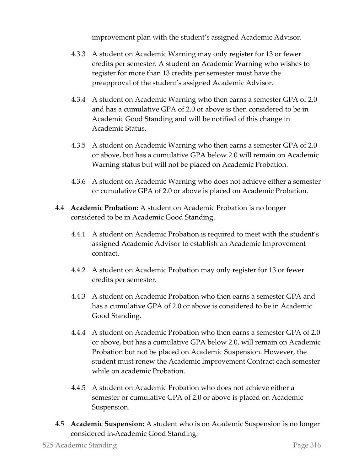improvement plan with the student's assigned Academic Advisor.

- 4.3.3 A student on Academic Warning may only register for 13 or fewer credits per semester. A student on Academic Warning who wishes to register for more than 13 credits per semester must have the preapproval of the student's assigned Academic Advisor.
- 4.3.4 A student on Academic Warning who then earns a semester GPA of 2.0 and has a cumulative GPA of 2.0 or above is then considered to be in Academic Good Standing and will be notified of this change in Academic Status.
- 4.3.5 A student on Academic Warning who then earns a semester GPA of 2.0 or above, but has a cumulative GPA below 2.0 will remain on Academic Warning status but will not be placed on Academic Probation.
- 4.3.6 A student on Academic Warning who does not achieve either a semester or cumulative GPA of 2.0 or above is placed on Academic Probation.
- 4.4 **Academic Probation:** A student on Academic Probation is no longer considered to be in Academic Good Standing.
	- 4.4.1 A student on Academic Probation is required to meet with the student's assigned Academic Advisor to establish an Academic Improvement contract.
	- 4.4.2 A student on Academic Probation may only register for 13 or fewer credits per semester.
	- 4.4.3 A student on Academic Probation who then earns a semester GPA and has a cumulative GPA of 2.0 or above is considered to be in Academic Good Standing.
	- 4.4.4 A student on Academic Probation who then earns a semester GPA of 2.0 or above, but has a cumulative GPA below 2.0, will remain on Academic Probation but not be placed on Academic Suspension. However, the student must renew the Academic Improvement Contract each semester while on academic Probation.
	- 4.4.5 A student on Academic Probation who does not achieve either a semester or cumulative GPA of 2.0 or above is placed on Academic Suspension.
- 4.5 **Academic Suspension:** A student who is on Academic Suspension is no longer considered in Academic Good Standing.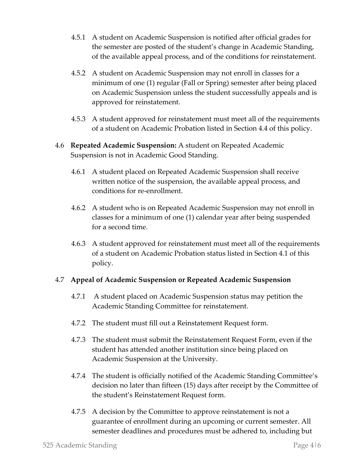- 4.5.1 A student on Academic Suspension is notified after official grades for the semester are posted of the student's change in Academic Standing, of the available appeal process, and of the conditions for reinstatement.
- 4.5.2 A student on Academic Suspension may not enroll in classes for a minimum of one (1) regular (Fall or Spring) semester after being placed on Academic Suspension unless the student successfully appeals and is approved for reinstatement.
- 4.5.3 A student approved for reinstatement must meet all of the requirements of a student on Academic Probation listed in Section 4.4 of this policy.
- 4.6 **Repeated Academic Suspension:** A student on Repeated Academic Suspension is not in Academic Good Standing.
	- 4.6.1 A student placed on Repeated Academic Suspension shall receive written notice of the suspension, the available appeal process, and conditions for re-enrollment.
	- 4.6.2 A student who is on Repeated Academic Suspension may not enroll in classes for a minimum of one (1) calendar year after being suspended for a second time.
	- 4.6.3 A student approved for reinstatement must meet all of the requirements of a student on Academic Probation status listed in Section 4.1 of this policy.

#### 4.7 **Appeal of Academic Suspension or Repeated Academic Suspension**

- 4.7.1 A student placed on Academic Suspension status may petition the Academic Standing Committee for reinstatement.
- 4.7.2 The student must fill out a Reinstatement Request form.
- 4.7.3 The student must submit the Reinstatement Request Form, even if the student has attended another institution since being placed on Academic Suspension at the University.
- 4.7.4 The student is officially notified of the Academic Standing Committee's decision no later than fifteen (15) days after receipt by the Committee of the student's Reinstatement Request form.
- 4.7.5 A decision by the Committee to approve reinstatement is not a guarantee of enrollment during an upcoming or current semester. All semester deadlines and procedures must be adhered to, including but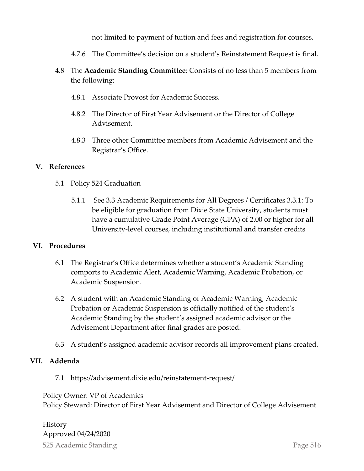not limited to payment of tuition and fees and registration for courses.

- 4.7.6 The Committee's decision on a student's Reinstatement Request is final.
- 4.8 The **Academic Standing Committee**: Consists of no less than 5 members from the following:
	- 4.8.1 Associate Provost for Academic Success.
	- 4.8.2 The Director of First Year Advisement or the Director of College Advisement.
	- 4.8.3 Three other Committee members from Academic Advisement and the Registrar's Office.

#### **V. References**

- 5.1 Policy 524 Graduation
	- 5.1.1 See 3.3 Academic Requirements for All Degrees / Certificates 3.3.1: To be eligible for graduation from Dixie State University, students must have a cumulative Grade Point Average (GPA) of 2.00 or higher for all University-level courses, including institutional and transfer credits

#### **VI. Procedures**

- 6.1 The Registrar's Office determines whether a student's Academic Standing comports to Academic Alert, Academic Warning, Academic Probation, or Academic Suspension.
- 6.2 A student with an Academic Standing of Academic Warning, Academic Probation or Academic Suspension is officially notified of the student's Academic Standing by the student's assigned academic advisor or the Advisement Department after final grades are posted.
- 6.3 A student's assigned academic advisor records all improvement plans created.

#### **VII. Addenda**

7.1 https://advisement.dixie.edu/reinstatement-request/

#### Policy Owner: VP of Academics

Policy Steward: Director of First Year Advisement and Director of College Advisement

525 Academic Standing Page 5|6 History Approved 04/24/2020